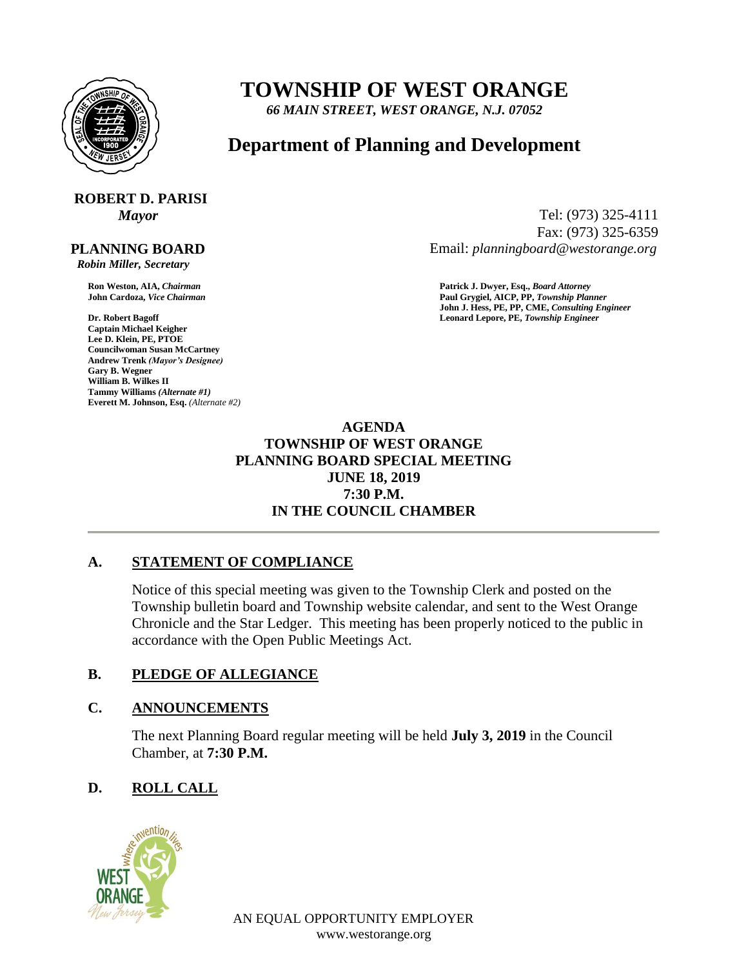

## **TOWNSHIP OF WEST ORANGE**

*66 MAIN STREET, WEST ORANGE, N.J. 07052*

### **Department of Planning and Development**

# **ROBERT D. PARISI**

#### **PLANNING BOARD**

 *Robin Miller, Secretary*

**Captain Michael Keigher Lee D. Klein, PE, PTOE Councilwoman Susan McCartney Andrew Trenk** *(Mayor's Designee)* **Gary B. Wegner William B. Wilkes II Tammy Williams** *(Alternate #1)* **Everett M. Johnson, Esq.** *(Alternate #2)*

*Mayor* Tel: (973) 325-4111 Fax: (973) 325-6359 Email: *planningboard@westorange.org*

**Ron Weston, AIA,** *Chairman* **Patrick J. Dwyer, Esq.,** *Board Attorney* **John Cardoza,** *Vice Chairman* **Paul Grygiel, AICP, PP,** *Township Planner* **John J. Hess, PE, PP, CME,** *Consulting Engineer* **Dr. Robert Bagoff Leonard Lepore, PE,** *Township Engineer*

> **AGENDA TOWNSHIP OF WEST ORANGE PLANNING BOARD SPECIAL MEETING JUNE 18, 2019 7:30 P.M. IN THE COUNCIL CHAMBER**

#### **A. STATEMENT OF COMPLIANCE**

Notice of this special meeting was given to the Township Clerk and posted on the Township bulletin board and Township website calendar, and sent to the West Orange Chronicle and the Star Ledger. This meeting has been properly noticed to the public in accordance with the Open Public Meetings Act.

#### **B. PLEDGE OF ALLEGIANCE**

#### **C. ANNOUNCEMENTS**

The next Planning Board regular meeting will be held **July 3, 2019** in the Council Chamber, at **7:30 P.M.**

#### **D. ROLL CALL**